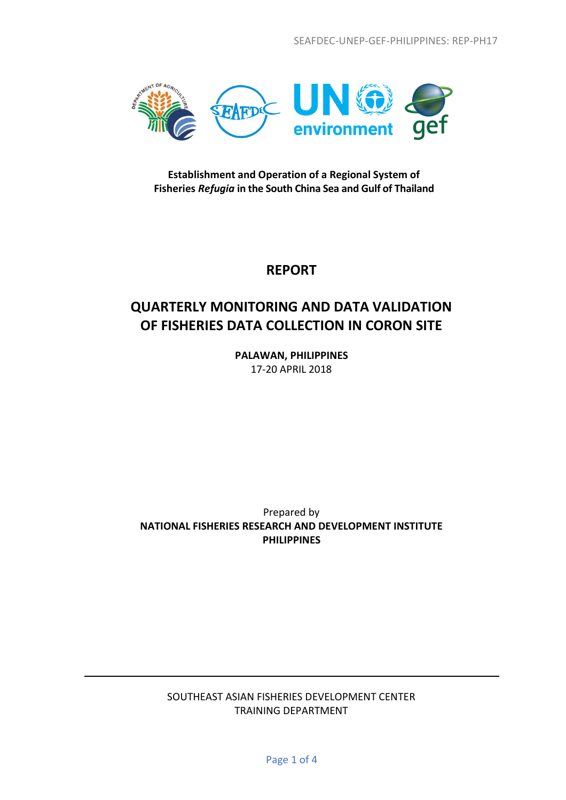

**Establishment and Operation of a Regional System of Fisheries** *Refugia* **in the South China Sea and Gulf of Thailand**

## **REPORT**

# **QUARTERLY MONITORING AND DATA VALIDATION OF FISHERIES DATA COLLECTION IN CORON SITE**

**PALAWAN, PHILIPPINES** 17-20 APRIL 2018

Prepared by **NATIONAL FISHERIES RESEARCH AND DEVELOPMENT INSTITUTE PHILIPPINES**

### SOUTHEAST ASIAN FISHERIES DEVELOPMENT CENTER TRAINING DEPARTMENT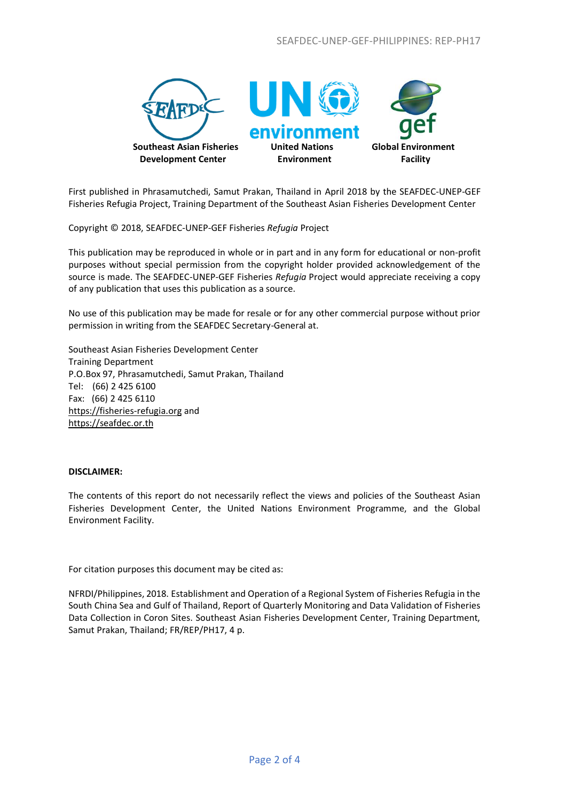

First published in Phrasamutchedi, Samut Prakan, Thailand in April 2018 by the SEAFDEC-UNEP-GEF Fisheries Refugia Project, Training Department of the Southeast Asian Fisheries Development Center

Copyright © 2018, SEAFDEC-UNEP-GEF Fisheries *Refugia* Project

This publication may be reproduced in whole or in part and in any form for educational or non-profit purposes without special permission from the copyright holder provided acknowledgement of the source is made. The SEAFDEC-UNEP-GEF Fisheries *Refugia* Project would appreciate receiving a copy of any publication that uses this publication as a source.

No use of this publication may be made for resale or for any other commercial purpose without prior permission in writing from the SEAFDEC Secretary-General at.

Southeast Asian Fisheries Development Center Training Department P.O.Box 97, Phrasamutchedi, Samut Prakan, Thailand Tel: (66) 2 425 6100 Fax: (66) 2 425 6110 [https://fisheries-refugia.org](https://fisheries-refugia.org/) and [https://seafdec.or.th](https://seafdec.or.th/)

#### **DISCLAIMER:**

The contents of this report do not necessarily reflect the views and policies of the Southeast Asian Fisheries Development Center, the United Nations Environment Programme, and the Global Environment Facility.

For citation purposes this document may be cited as:

NFRDI/Philippines, 2018. Establishment and Operation of a Regional System of Fisheries Refugia in the South China Sea and Gulf of Thailand, Report of Quarterly Monitoring and Data Validation of Fisheries Data Collection in Coron Sites. Southeast Asian Fisheries Development Center, Training Department, Samut Prakan, Thailand; FR/REP/PH17, 4 p.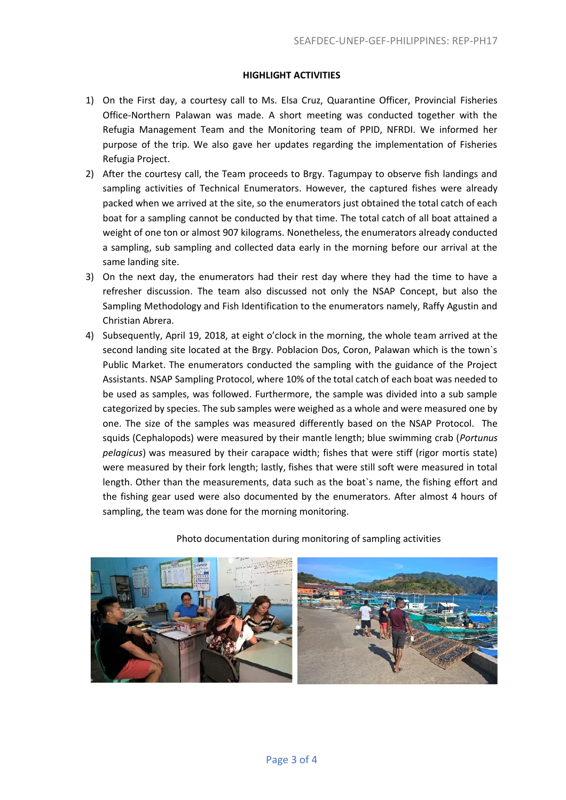### **HIGHLIGHT ACTIVITIES**

- 1) On the First day, a courtesy call to Ms. Elsa Cruz, Quarantine Officer, Provincial Fisheries Office-Northern Palawan was made. A short meeting was conducted together with the Refugia Management Team and the Monitoring team of PPID, NFRDI. We informed her purpose of the trip. We also gave her updates regarding the implementation of Fisheries Refugia Project.
- 2) After the courtesy call, the Team proceeds to Brgy. Tagumpay to observe fish landings and sampling activities of Technical Enumerators. However, the captured fishes were already packed when we arrived at the site, so the enumerators just obtained the total catch of each boat for a sampling cannot be conducted by that time. The total catch of all boat attained a weight of one ton or almost 907 kilograms. Nonetheless, the enumerators already conducted a sampling, sub sampling and collected data early in the morning before our arrival at the same landing site.
- 3) On the next day, the enumerators had their rest day where they had the time to have a refresher discussion. The team also discussed not only the NSAP Concept, but also the Sampling Methodology and Fish Identification to the enumerators namely, Raffy Agustin and Christian Abrera.
- 4) Subsequently, April 19, 2018, at eight o'clock in the morning, the whole team arrived at the second landing site located at the Brgy. Poblacion Dos, Coron, Palawan which is the town`s Public Market. The enumerators conducted the sampling with the guidance of the Project Assistants. NSAP Sampling Protocol, where 10% of the total catch of each boat was needed to be used as samples, was followed. Furthermore, the sample was divided into a sub sample categorized by species. The sub samples were weighed as a whole and were measured one by one. The size of the samples was measured differently based on the NSAP Protocol. The squids (Cephalopods) were measured by their mantle length; blue swimming crab (*Portunus pelagicus*) was measured by their carapace width; fishes that were stiff (rigor mortis state) were measured by their fork length; lastly, fishes that were still soft were measured in total length. Other than the measurements, data such as the boat`s name, the fishing effort and the fishing gear used were also documented by the enumerators. After almost 4 hours of sampling, the team was done for the morning monitoring.



Photo documentation during monitoring of sampling activities